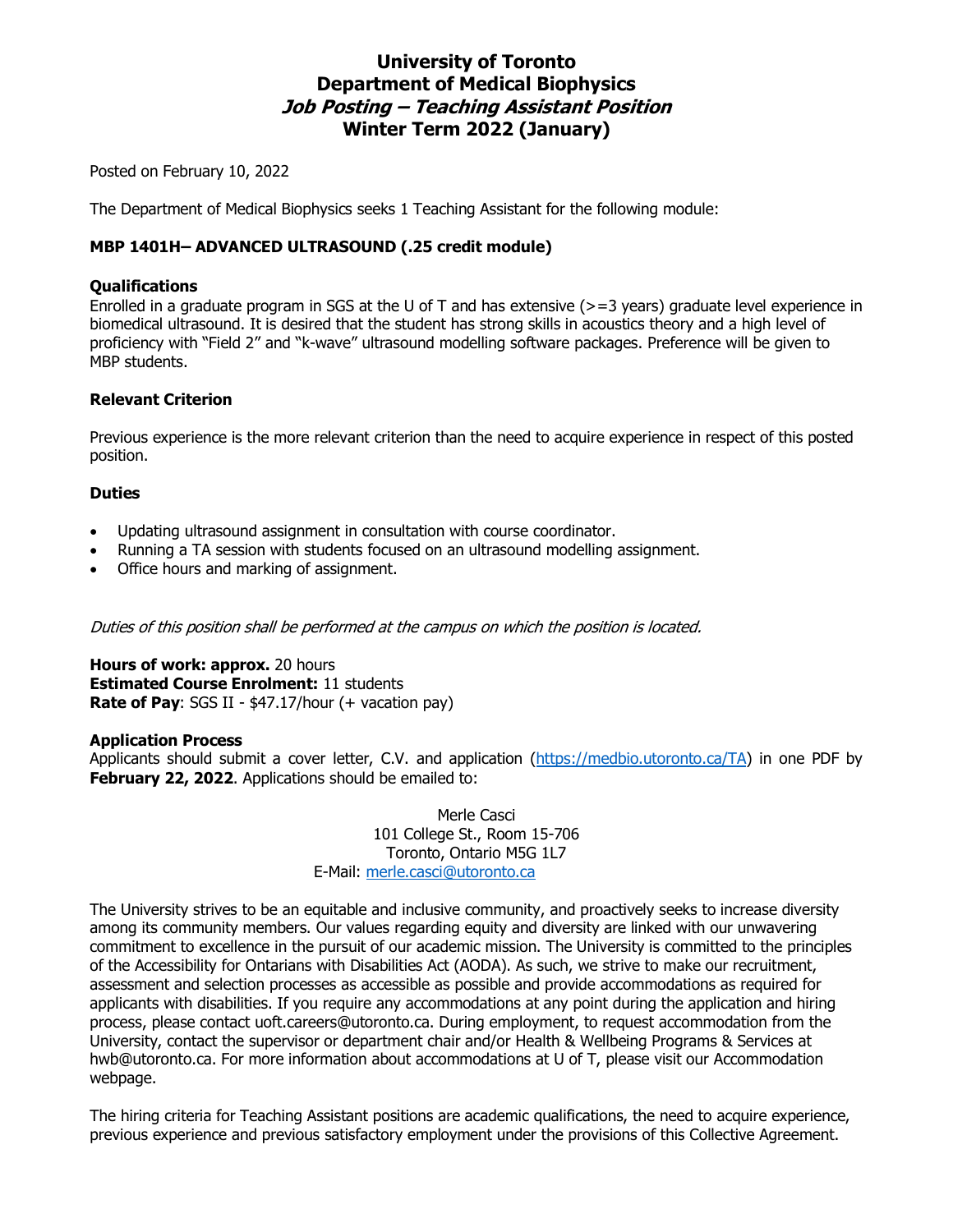# **University of Toronto Department of Medical Biophysics Job Posting – Teaching Assistant Position Winter Term 2022 (January)**

Posted on February 10, 2022

The Department of Medical Biophysics seeks 1 Teaching Assistant for the following module:

## **MBP 1401H– ADVANCED ULTRASOUND (.25 credit module)**

#### **Qualifications**

Enrolled in a graduate program in SGS at the U of T and has extensive (>=3 years) graduate level experience in biomedical ultrasound. It is desired that the student has strong skills in acoustics theory and a high level of proficiency with "Field 2" and "k-wave" ultrasound modelling software packages. Preference will be given to MBP students.

### **Relevant Criterion**

Previous experience is the more relevant criterion than the need to acquire experience in respect of this posted position.

### **Duties**

- Updating ultrasound assignment in consultation with course coordinator.
- Running a TA session with students focused on an ultrasound modelling assignment.
- Office hours and marking of assignment.

Duties of this position shall be performed at the campus on which the position is located.

**Hours of work: approx.** 20 hours **Estimated Course Enrolment:** 11 students **Rate of Pay:** SGS II - \$47.17/hour (+ vacation pay)

#### **Application Process**

Applicants should submit a cover letter, C.V. and application (https://medbio.utoronto.ca/TA) in one PDF by **February 22, 2022**. Applications should be emailed to:

> Merle Casci 101 College St., Room 15-706 Toronto, Ontario M5G 1L7 E-Mail: merle.casci@utoronto.ca

The University strives to be an equitable and inclusive community, and proactively seeks to increase diversity among its community members. Our values regarding equity and diversity are linked with our unwavering commitment to excellence in the pursuit of our academic mission. The University is committed to the principles of the Accessibility for Ontarians with Disabilities Act (AODA). As such, we strive to make our recruitment, assessment and selection processes as accessible as possible and provide accommodations as required for applicants with disabilities. If you require any accommodations at any point during the application and hiring process, please contact uoft.careers@utoronto.ca. During employment, to request accommodation from the University, contact the supervisor or department chair and/or Health & Wellbeing Programs & Services at hwb@utoronto.ca. For more information about accommodations at U of T, please visit our Accommodation webpage.

The hiring criteria for Teaching Assistant positions are academic qualifications, the need to acquire experience, previous experience and previous satisfactory employment under the provisions of this Collective Agreement.